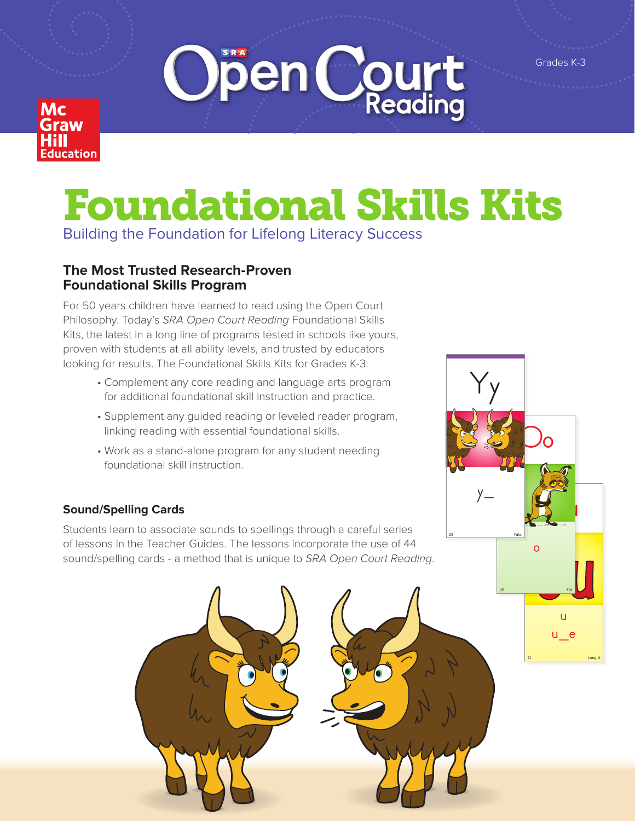Grades K-3





# Foundational Skills Kits

Building the Foundation for Lifelong Literacy Success

# **The Most Trusted Research-Proven Foundational Skills Program**

For 50 years children have learned to read using the Open Court Philosophy. Today's *SRA Open Court Reading* Foundational Skills Kits, the latest in a long line of programs tested in schools like yours, proven with students at all ability levels, and trusted by educators looking for results. The Foundational Skills Kits for Grades K-3:

- Complement any core reading and language arts program for additional foundational skill instruction and practice.
- Supplement any guided reading or leveled reader program, linking reading with essential foundational skills.
- Work as a stand-alone program for any student needing foundational skill instruction.

## **Sound/Spelling Cards**

Students learn to associate sounds to spellings through a careful series of lessons in the Teacher Guides. The lessons incorporate the use of 44 sound/spelling cards - a method that is unique to *SRA Open Court Reading*.